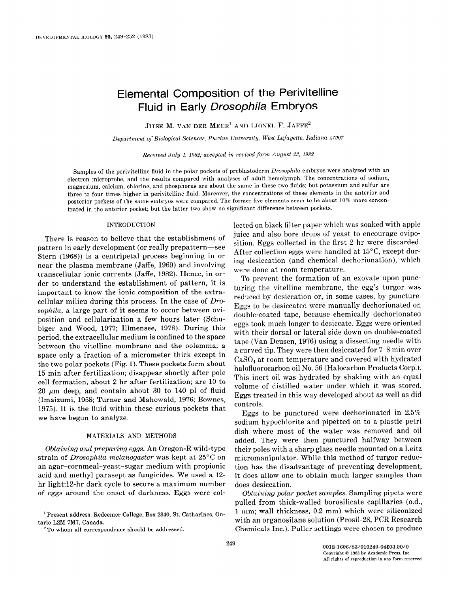# Elemental Composition of the Perivitelline Fluid in Early Drosophila Embryos

JITSE M. VAN DER MEER<sup>1</sup> AND LIONEL F. JAFFE<sup>2</sup>

Department of Biological Sciences, Purdue University, West Lafayette, Indiana 47907

Received July I, 1982; accepted in revised form August 23, 1982

Samples of the perivitelline fluid in the polar pockets of preblastoderm Drosophila embryos were analyzed with an electron microprobe, and the results compared with analyses of adult hemolymph. The concentrations of sodium, magnesium, calciom, chlorine, and phosphorus are about the same in these two fluids; but potassium and sulfur are three to four times higher in perivitelline fluid. Moreover, the concentrations of these elements in the anterior and posterior pockets of the same embryos were compared. The former five elements seem to be about 10% more concentrated in the anterior pocket; but the latter two show no significant difference between pockets.

#### INTRODUCTION

There is reason to believe that the establishment of pattern in early development (or really prepattern-see Stern (1968)) is a centripetal process beginning in or near the plasma membrane (Jaffe, 1969) and involving transcellular ionic currents (Jaffe, 1982). Hence, in order to understand the establishment of pattern, it is important to know the ionic composition of the extracellular milieu during this process. In the case of Drosophila, a large part of it seems to occur between oviposition and cellularization a few hours later (Schubiger and Wood, 1977; Illmensee, 1978). During this period, the extracellular medium is confined to the space between the vitelline membrane and the oolemma; a space only a fraction of a micrometer thick except in the two polar pockets  $(Fig. 1)$ . These pockets form about 15 min after fertilization; disappear shortly after pole cell formation, about 2 hr after fertilization; are 10 to 20  $\mu$ m deep, and contain about 30 to 140 pl of fluid (Imaizumi, 1958; Turner and Mahowald, 1976; Bownes, 1975). It is the fluid within these curious pockets that we have begun to analyze.

### MATERIALS AND METHODS

Obtaining and preparing eggs. An Oregon-R wild-type strain of Drosophila melanogaster was kept at 25°C on an agar-cornmeal-yeast-sugar medium with propionic acid and methyl parasept as fungicides. We used a 12 hr light:12-hr dark cycle to secure a maximum number of eggs around the onset of darkness. Eggs were collected on black filter paper which was soaked with apple juice and also bore drops of yeast to encourage oviposition. Eggs collected in the first 2 hr were discarded. After collection eggs were handled at 15"C, except during desiccation (and chemical dechorionation), which were done at room temperature.

To prevent the formation of an exovate upon puncturing the vitelline membrane, the egg's turgor was reduced by desiccation or, in some cases, by puncture. Eggs to be desiccated were manually dechorionated on double-coated tape, because chemically dechorionated eggs took much longer to desiccate. Eggs were oriented with their dorsal or lateral side down on double-coated tape (Van Deusen, 1976) using a dissecting needle with a curved tip. They were then desiccated for 7-8 min over CaS04 at room temperature and covered with hydrated halofluorocarbon oil No. 56 (Halocarbon Products Corp.). This inert oil was hydrated by shaking with an equal volume of distilled water under which it was stored. Eggs treated in this way developed about as well as did controls.

Eggs to be punctured were dechorionated in 2.5% sodium hypochlorite and pipetted on to a plastic petri dish where most of the water was removed and oil added. They were then punctured halfway between their poles with a sharp glass needle mounted on a Leitz micromanipulator. While this method of turgor reduction has the disadvantage of preventing development, it does allow one to obtain much larger samples than does desiccation.

Obtaining polar pocket samples. Sampling pipets were pulled from thick-walled borosilicate capillaries (o.d., 1 mm; wall thickness, 0.2 mm) which were siliconized with an organosilane solution (Prosil-28, PCR Research Chemicals Inc.). Puller settings were chosen to produce

<sup>&#</sup>x27; Present address: Redeemer College, Box 2340, St. Catharines, Ontario L2M 7M7, Canada.

 $2$  To whom all correspondence should be addressed.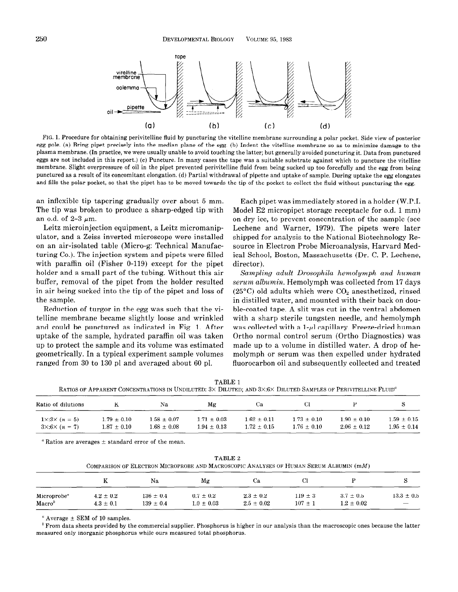

FIG. 1. Procedure for obtaining perivitelline fluid by puncturing the vitelline membrane surrounding a polar pocket. Side view of posterior egg pole. (a) Bring pipet precisely into the median plane of the egg. (b) Indent the vitelline membrane so as to minimize damage to the plasma membrane. (In practice, we were usually unable to avoid touching the latter; but generally avoided puncturing it. Data from punctured eggs are not included in this report.) (c) Puncture. In many cases the tape was a suitable substrate against which to puncture the vitelline membrane. Slight overpressure of oil in the pipet prevented perivitelline fluid from being sucked up too forcefully and the egg from being punctured as a result of its concomitant elongation. (d) Partial withdrawal of pipette and uptake of sample. During uptake the egg elongates and fills the polar pocket, so that the pipet has to be moved towards the tip of the pocket to collect the fluid without puncturing the egg.

an inflexible tip tapering gradually over about 5 mm. The tip was broken to produce a sharp-edged tip with an o.d. of  $2-3 \mu m$ .

Leitz microinjection equipment, a Leitz micromanipulator, and a Zeiss inverted microscope were installed on an air-isolated table (Micro-g: Technical Manufacturing Co.). The injection system and pipets were filled with paraffin oil (Fisher 0-119) except for the pipet holder and a small part of the tubing. Without this air buffer, removal of the pipet from the holder resulted in air being sucked into the tip of the pipet and loss of the sample.

Reduction of turgor in the egg was such that the vitelline membrane became slightly loose and wrinkled and could be punctured as indicated in Fig. 1. After uptake of the sample, hydrated paraffin oil was taken up to protect the sample and its volume was estimated geometrically. In a typical experiment sample volumes ranged from 30 to 130 pl and averaged about 60 pl.

Each pipet was immediately stored in a holder (W.P.I. Model E2 micropipet storage receptacle for o.d. 1 mm) on dry ice, to prevent concentration of the sample (see Lechene and Warner, 1979). The pipets were later shipped for analysis to the National Biotechnology Resource in Electron Probe Microanalysis, Harvard Medical School, Boston, Massachusetts (Dr. C. P. Lechene, director).

Sampling adult Drosophila hemolymph and human serum albumin. Hemolymph was collected from 17 days (25 $\rm ^{o}$ C) old adults which were  $\rm CO_2$  anesthetized, rinsed in distilled water, and mounted with their back on double-coated tape. A slit was cut in the ventral abdomen with a sharp sterile tungsten needle, and hemolymph was collected with a  $1-\mu$ l capillary. Freeze-dried human Ortho normal control serum (Ortho Diagnostics) was made up to a volume in distilled water. A drop of hemolymph or serum was then expelled under hydrated fluorocarbon oil and subsequently collected and treated

| TABLE 1                                                                                                                   |
|---------------------------------------------------------------------------------------------------------------------------|
| RATIOS OF APPARENT CONCENTRATIONS IN UNDILUTED: 3X DILUTED; AND 3X:6X DILUTED SAMPLES OF PERIVITELLINE FLUID <sup>"</sup> |

| Ratio of dilutions          |                 | Na              | Μg              | Ua.             |                 |                 |                 |
|-----------------------------|-----------------|-----------------|-----------------|-----------------|-----------------|-----------------|-----------------|
| $1 \times 3 \times (n = 5)$ | $1.79 \pm 0.10$ | $1.58 + 0.07$   | $1.71 \pm 0.03$ | $1.62 \pm 0.11$ | $1.73 + 0.10$   | $1.90 \pm 0.10$ | $1.59 \pm 0.15$ |
| $3 \times 6 \times (n = 7)$ | $1.87 \pm 0.10$ | $1.68 \pm 0.08$ | $1.94 \pm 0.13$ | $1.72 \pm 0.15$ | $1.76 \pm 0.10$ | $2.06 \pm 0.12$ | $1.95 \pm 0.14$ |

" Ratios are averages  $\pm$  standard error of the mean.

| TABLE 2                                                                                  |
|------------------------------------------------------------------------------------------|
| COMPARISON OF ELECTRON MICROPROBE AND MACROSCOPIC ANALYSES OF HUMAN SERUM ALBUMIN $(mM)$ |

|                         | v             | Na            | Mg             | Cа             | U)            |                |                          |
|-------------------------|---------------|---------------|----------------|----------------|---------------|----------------|--------------------------|
| Microprobe <sup>a</sup> | $4.2 \pm 0.2$ | $136 \pm 0.4$ | $0.7 \pm 0.2$  | $2.3 \pm 0.2$  | $119 \pm 3$   | $3.7 \pm 0.5$  | $13.3 \pm 0.5$           |
| Maccro <sup>b</sup>     | $4.3 \pm 0.1$ | $139 \pm 0.4$ | $1.0 \pm 0.03$ | $2.5 \pm 0.02$ | $107~{\pm}~1$ | $1.2 \pm 0.02$ | $\overline{\phantom{m}}$ |

" Average  $\pm$  SEM of 10 samples.

 $<sup>b</sup>$  From data sheets provided by the commercial supplier. Phosphorus is higher in our analysis than the macroscopic ones because the latter</sup> measured only inorganic phosphorus while ours measured total phosphorus.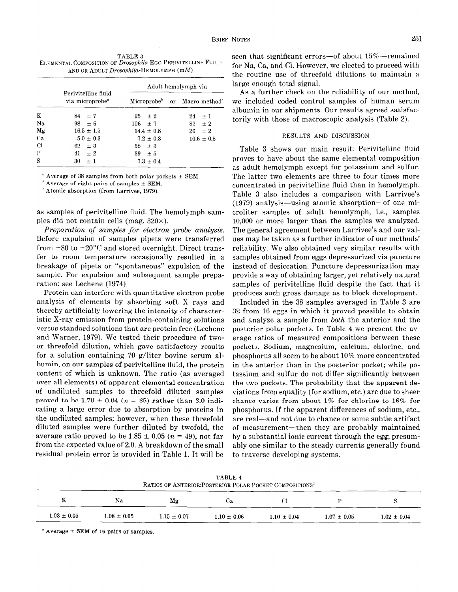TABLE 3 ELEMENTAL COMPOSITION OF Drosophila EGG PERIVITELLINE FLUID AND OR ADULT Drosophila-HEMOLYMPH (mM)

|                |                                                    |                | Adult hemolymph via                                  |
|----------------|----------------------------------------------------|----------------|------------------------------------------------------|
|                | Perivitelline fluid<br>via microprobe <sup>a</sup> |                | Microprobe <sup>b</sup> or Macro method <sup>c</sup> |
| K              | $84 + 7$                                           | $25 \pm 2$     | $24 \pm 1$                                           |
| Na.            | $98 + 6$                                           | $106 \pm 7$    | $87 \pm 2$                                           |
| Mg             | $16.5 \pm 1.5$                                     | $14.4 \pm 0.8$ | $26 \pm 2$                                           |
| Ca             | $5.0 + 0.3$                                        | $7.2 \pm 0.8$  | $10.6 \pm 0.5$                                       |
| $\overline{C}$ | $62 \pm 3$                                         | $58 \pm 3$     |                                                      |
| P              | $41 \pm 2$                                         | $39 + 5$       |                                                      |
| S              | 30<br>$+1$                                         | $7.3 \pm 0.4$  |                                                      |

" Average of 38 samples from both polar pockets  $\pm$  SEM.

 $<sup>b</sup>$  Average of eight pairs of samples  $\pm$  SEM.</sup>

' Atomic absorption (from Larrivee, 1979).

as samples of perivitelline fluid. The hemolymph samples did not contain cells (mag.  $320\times$ ).

Preparation of samples for electron probe analysis. Before expulsion of samples pipets were transferred from  $-80$  to  $-20^{\circ}$ C and stored overnight. Direct transfer to room temperature occasionally resulted in a breakage of pipets or "spontaneous" expulsion of the sample. For expulsion and subsequent sample preparation: see Lechene (1974).

Protein can interfere with quantitative electron probe analysis of elements by absorbing soft X rays and thereby artificially lowering the intensity of characteristic X-ray emission from protein-containing solutions versus standard solutions that are protein free (Lechene and Warner, 1979). We tested their procedure of twoor threefold dilution, which gave satisfactory results for a solution containing 70 g/liter bovine serum albumin, on our samples of perivitelline fluid, the protein content of which is unknown. The ratio (as averaged over all elements) of apparent elemental concentration of undiluted samples to threefold diluted samples proved to be 1.70  $\pm$  0.04 (n = 35) rather than 3.0 indicating a large error due to absorption by proteins in the undiluted samples; however, when these threefold diluted samples were further diluted by twofold, the average ratio proved to be 1.85  $\pm$  0.05 (n = 49), not far from the expected value of 2.0. A breakdown of the small residual protein error is provided in Table 1. It will be

seen that significant errors—of about  $15\%$ —remained for Na, Ca, and Cl. However, we elected to proceed with the routine use of threefold dilutions to maintain a large enough total signal.

As a further check on the reliability of our method, we included coded control samples of human serum albumin in our shipments. Our results agreed satisfactorily with those of macroscopic analysis (Table 2).

## RESULTS AND DISCUSSION

Table 3 shows our main result: Perivitelline fluid proves to have about the same elemental composition as adult hemolymph except for potassium and sulfur. The latter two elements are three to four times more concentrated in perivitelline fluid than in hemolymph. Table 3 also includes a comparison with Larrivee's (1979) analysis-using atomic absorption-of one microliter samples of adult hemolymph, i.e., samples 10,000 or more larger than the samples we analyzed. The general agreement between Larrivee's and our values may be taken as a further indicator of our methods' reliability. We also obtained very similar results with samples obtained from eggs depressurized via puncture instead of desiccation. Puncture depressurization may provide a way of obtaining larger, yet relatively natural samples of perivitelline fluid despite the fact that it produces such gross damage as to block development.

Included in the 38 samples averaged in Table 3 are 32 from 16 eggs in which it proved possible to obtain and analyze a sample from both the anterior and the posterior polar pockets. In Table 4 we present the average ratios of measured compositions between these pockets. Sodium, magnesium, calcium, chlorine, and phosphorus all seem to be about 10% more concentrated in the anterior than in the posterior pocket; while potassium and sulfur do not differ significantly between the two pockets. The probability that the apparent deviations from equality (for sodium, etc.) are due to sheer chance varies from about 1% for chlorine to 16% for phosphorus. If the apparent differences of sodium, etc., are real-and not due to chance or some subtle artifact of measurement-then they are probably maintained by a substantial ionic current through the egg; presumably one similar to the steady currents generally found to traverse developing systems.

|                 |                 | RATIOS OF ANTERIOR: POSTERIOR POLAR POCKET COMPOSITIONS <sup>a</sup> | TABLE 4         |                 |                   |                 |
|-----------------|-----------------|----------------------------------------------------------------------|-----------------|-----------------|-------------------|-----------------|
| K               | Na              | Mg                                                                   | Cа              | Cl              |                   |                 |
| $1.03 \pm 0.05$ | $1.08 \pm 0.05$ | $1.15 \pm 0.07$                                                      | $1.10 \pm 0.06$ | $1.10 \pm 0.04$ | $1.07\,\pm\,0.05$ | $1.02 \pm 0.04$ |

 $A$ verage  $\pm$  SEM of 16 pairs of samples.